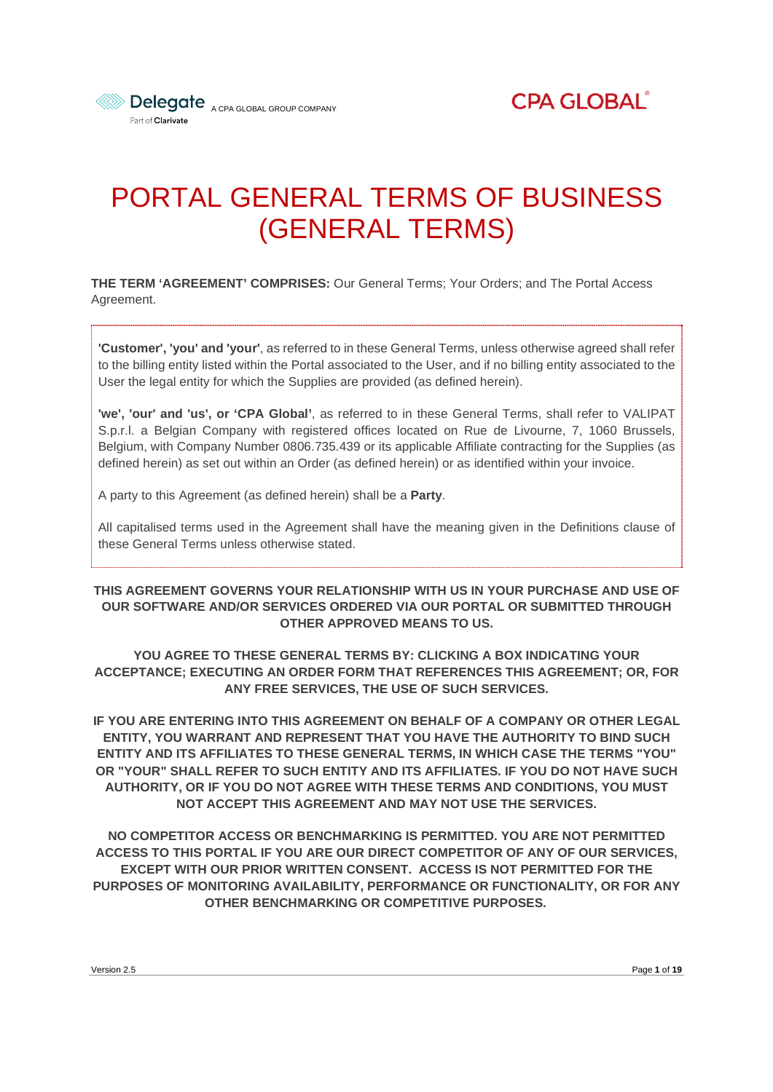

**CPA GLOBAL®** 

# PORTAL GENERAL TERMS OF BUSINESS (GENERAL TERMS)

**THE TERM 'AGREEMENT' COMPRISES:** Our General Terms; Your Orders; and The Portal Access Agreement.

**'Customer', 'you' and 'your'**, as referred to in these General Terms, unless otherwise agreed shall refer to the billing entity listed within the Portal associated to the User, and if no billing entity associated to the User the legal entity for which the Supplies are provided (as defined herein).

**'we', 'our' and 'us', or 'CPA Global'**, as referred to in these General Terms, shall refer to VALIPAT S.p.r.l. a Belgian Company with registered offices located on Rue de Livourne, 7, 1060 Brussels, Belgium, with Company Number 0806.735.439 or its applicable Affiliate contracting for the Supplies (as defined herein) as set out within an Order (as defined herein) or as identified within your invoice.

A party to this Agreement (as defined herein) shall be a **Party**.

All capitalised terms used in the Agreement shall have the meaning given in the Definitions clause of these General Terms unless otherwise stated.

#### **THIS AGREEMENT GOVERNS YOUR RELATIONSHIP WITH US IN YOUR PURCHASE AND USE OF OUR SOFTWARE AND/OR SERVICES ORDERED VIA OUR PORTAL OR SUBMITTED THROUGH OTHER APPROVED MEANS TO US.**

**YOU AGREE TO THESE GENERAL TERMS BY: CLICKING A BOX INDICATING YOUR ACCEPTANCE; EXECUTING AN ORDER FORM THAT REFERENCES THIS AGREEMENT; OR, FOR ANY FREE SERVICES, THE USE OF SUCH SERVICES.**

**IF YOU ARE ENTERING INTO THIS AGREEMENT ON BEHALF OF A COMPANY OR OTHER LEGAL ENTITY, YOU WARRANT AND REPRESENT THAT YOU HAVE THE AUTHORITY TO BIND SUCH ENTITY AND ITS AFFILIATES TO THESE GENERAL TERMS, IN WHICH CASE THE TERMS "YOU" OR "YOUR" SHALL REFER TO SUCH ENTITY AND ITS AFFILIATES. IF YOU DO NOT HAVE SUCH AUTHORITY, OR IF YOU DO NOT AGREE WITH THESE TERMS AND CONDITIONS, YOU MUST NOT ACCEPT THIS AGREEMENT AND MAY NOT USE THE SERVICES.**

**NO COMPETITOR ACCESS OR BENCHMARKING IS PERMITTED. YOU ARE NOT PERMITTED ACCESS TO THIS PORTAL IF YOU ARE OUR DIRECT COMPETITOR OF ANY OF OUR SERVICES, EXCEPT WITH OUR PRIOR WRITTEN CONSENT. ACCESS IS NOT PERMITTED FOR THE PURPOSES OF MONITORING AVAILABILITY, PERFORMANCE OR FUNCTIONALITY, OR FOR ANY OTHER BENCHMARKING OR COMPETITIVE PURPOSES.**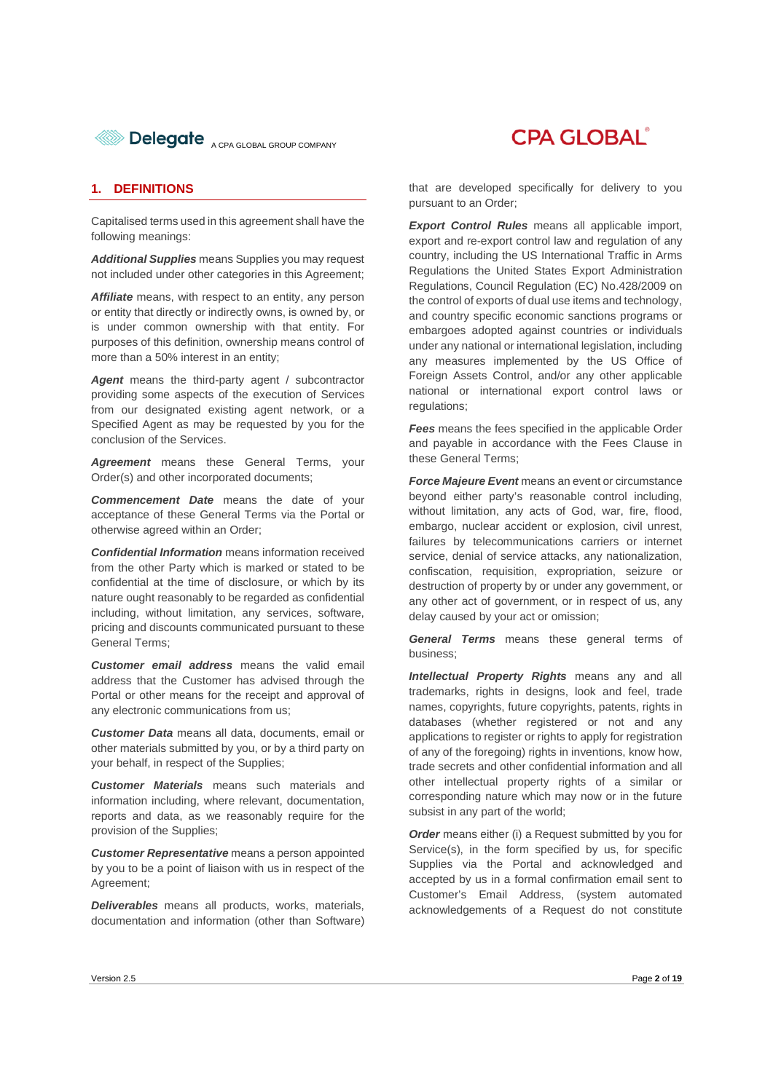

### **CPA GLOBAL**

#### **1. DEFINITIONS**

Capitalised terms used in this agreement shall have the following meanings:

*Additional Supplies* means Supplies you may request not included under other categories in this Agreement;

Affiliate means, with respect to an entity, any person or entity that directly or indirectly owns, is owned by, or is under common ownership with that entity. For purposes of this definition, ownership means control of more than a 50% interest in an entity;

Agent means the third-party agent / subcontractor providing some aspects of the execution of Services from our designated existing agent network, or a Specified Agent as may be requested by you for the conclusion of the Services.

*Agreement* means these General Terms, your Order(s) and other incorporated documents;

**Commencement Date** means the date of your acceptance of these General Terms via the Portal or otherwise agreed within an Order;

*Confidential Information* means information received from the other Party which is marked or stated to be confidential at the time of disclosure, or which by its nature ought reasonably to be regarded as confidential including, without limitation, any services, software, pricing and discounts communicated pursuant to these General Terms;

*Customer email address* means the valid email address that the Customer has advised through the Portal or other means for the receipt and approval of any electronic communications from us;

*Customer Data* means all data, documents, email or other materials submitted by you, or by a third party on your behalf, in respect of the Supplies;

*Customer Materials* means such materials and information including, where relevant, documentation, reports and data, as we reasonably require for the provision of the Supplies;

*Customer Representative* means a person appointed by you to be a point of liaison with us in respect of the Agreement;

*Deliverables* means all products, works, materials, documentation and information (other than Software)

that are developed specifically for delivery to you pursuant to an Order;

*Export Control Rules* means all applicable import, export and re-export control law and regulation of any country, including the US International Traffic in Arms Regulations the United States Export Administration Regulations, Council Regulation (EC) No.428/2009 on the control of exports of dual use items and technology, and country specific economic sanctions programs or embargoes adopted against countries or individuals under any national or international legislation, including any measures implemented by the US Office of Foreign Assets Control, and/or any other applicable national or international export control laws or regulations;

*Fees* means the fees specified in the applicable Order and payable in accordance with the Fees Clause in these General Terms;

*Force Majeure Event* means an event or circumstance beyond either party's reasonable control including, without limitation, any acts of God, war, fire, flood, embargo, nuclear accident or explosion, civil unrest, failures by telecommunications carriers or internet service, denial of service attacks, any nationalization, confiscation, requisition, expropriation, seizure or destruction of property by or under any government, or any other act of government, or in respect of us, any delay caused by your act or omission;

*General Terms* means these general terms of business;

*Intellectual Property Rights* means any and all trademarks, rights in designs, look and feel, trade names, copyrights, future copyrights, patents, rights in databases (whether registered or not and any applications to register or rights to apply for registration of any of the foregoing) rights in inventions, know how, trade secrets and other confidential information and all other intellectual property rights of a similar or corresponding nature which may now or in the future subsist in any part of the world;

*Order* means either (i) a Request submitted by you for Service(s), in the form specified by us, for specific Supplies via the Portal and acknowledged and accepted by us in a formal confirmation email sent to Customer's Email Address, (system automated acknowledgements of a Request do not constitute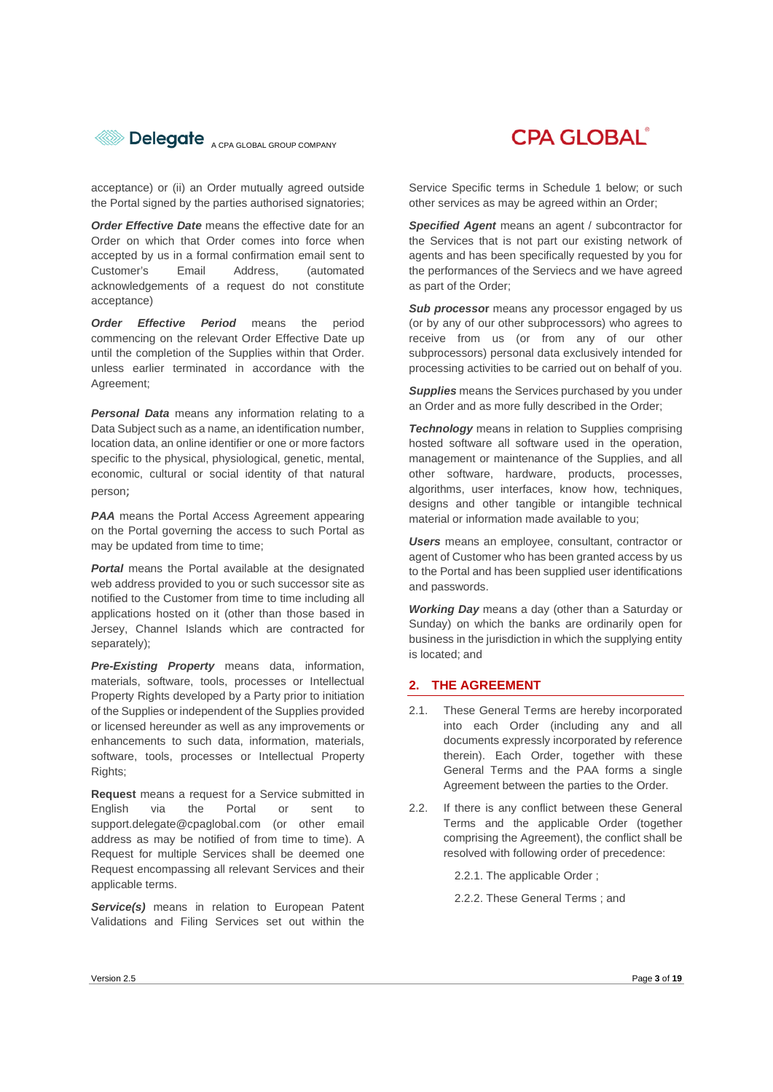

acceptance) or (ii) an Order mutually agreed outside the Portal signed by the parties authorised signatories;

**Order Effective Date** means the effective date for an Order on which that Order comes into force when accepted by us in a formal confirmation email sent to Customer's Email Address, (automated acknowledgements of a request do not constitute acceptance)

*Order Effective Period* means the period commencing on the relevant Order Effective Date up until the completion of the Supplies within that Order. unless earlier terminated in accordance with the Agreement;

*Personal Data* means any information relating to a Data Subject such as a name, an identification number, location data, an online identifier or one or more factors specific to the physical, physiological, genetic, mental, economic, cultural or social identity of that natural person;

**PAA** means the Portal Access Agreement appearing on the Portal governing the access to such Portal as may be updated from time to time;

*Portal* means the Portal available at the designated web address provided to you or such successor site as notified to the Customer from time to time including all applications hosted on it (other than those based in Jersey, Channel Islands which are contracted for separately);

*Pre-Existing Property* means data, information, materials, software, tools, processes or Intellectual Property Rights developed by a Party prior to initiation of the Supplies or independent of the Supplies provided or licensed hereunder as well as any improvements or enhancements to such data, information, materials, software, tools, processes or Intellectual Property Rights:

**Request** means a request for a Service submitted in English via the Portal or sent to support.delegate@cpaglobal.com (or other email address as may be notified of from time to time). A Request for multiple Services shall be deemed one Request encompassing all relevant Services and their applicable terms.

*Service(s)* means in relation to European Patent Validations and Filing Services set out within the **CPA GLOBAL** 

Service Specific terms in Schedule 1 below; or such other services as may be agreed within an Order;

*Specified Agent* means an agent / subcontractor for the Services that is not part our existing network of agents and has been specifically requested by you for the performances of the Serviecs and we have agreed as part of the Order;

**Sub processor** means any processor engaged by us (or by any of our other subprocessors) who agrees to receive from us (or from any of our other subprocessors) personal data exclusively intended for processing activities to be carried out on behalf of you.

*Supplies* means the Services purchased by you under an Order and as more fully described in the Order;

**Technology** means in relation to Supplies comprising hosted software all software used in the operation, management or maintenance of the Supplies, and all other software, hardware, products, processes, algorithms, user interfaces, know how, techniques, designs and other tangible or intangible technical material or information made available to you;

*Users* means an employee, consultant, contractor or agent of Customer who has been granted access by us to the Portal and has been supplied user identifications and passwords.

*Working Day* means a day (other than a Saturday or Sunday) on which the banks are ordinarily open for business in the jurisdiction in which the supplying entity is located; and

#### **2. THE AGREEMENT**

- 2.1. These General Terms are hereby incorporated into each Order (including any and all documents expressly incorporated by reference therein). Each Order, together with these General Terms and the PAA forms a single Agreement between the parties to the Order.
- 2.2. If there is any conflict between these General Terms and the applicable Order (together comprising the Agreement), the conflict shall be resolved with following order of precedence:

2.2.1. The applicable Order ;

2.2.2. These General Terms ; and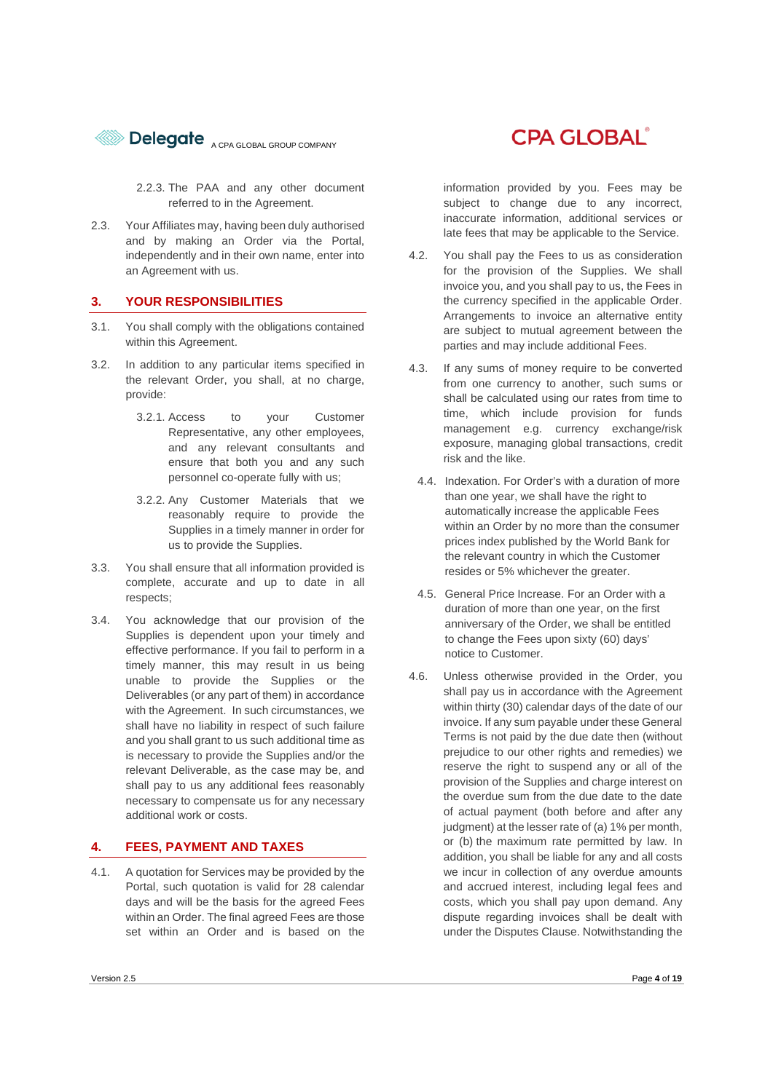

2.2.3. The PAA and any other document referred to in the Agreement.

2.3. Your Affiliates may, having been duly authorised and by making an Order via the Portal, independently and in their own name, enter into an Agreement with us.

#### **3. YOUR RESPONSIBILITIES**

- 3.1. You shall comply with the obligations contained within this Agreement.
- 3.2. In addition to any particular items specified in the relevant Order, you shall, at no charge, provide:
	- 3.2.1. Access to your Customer Representative, any other employees, and any relevant consultants and ensure that both you and any such personnel co-operate fully with us;
	- 3.2.2. Any Customer Materials that we reasonably require to provide the Supplies in a timely manner in order for us to provide the Supplies.
- 3.3. You shall ensure that all information provided is complete, accurate and up to date in all respects;
- 3.4. You acknowledge that our provision of the Supplies is dependent upon your timely and effective performance. If you fail to perform in a timely manner, this may result in us being unable to provide the Supplies or the Deliverables (or any part of them) in accordance with the Agreement. In such circumstances, we shall have no liability in respect of such failure and you shall grant to us such additional time as is necessary to provide the Supplies and/or the relevant Deliverable, as the case may be, and shall pay to us any additional fees reasonably necessary to compensate us for any necessary additional work or costs.

#### **4. FEES, PAYMENT AND TAXES**

4.1. A quotation for Services may be provided by the Portal, such quotation is valid for 28 calendar days and will be the basis for the agreed Fees within an Order. The final agreed Fees are those set within an Order and is based on the information provided by you. Fees may be subject to change due to any incorrect, inaccurate information, additional services or late fees that may be applicable to the Service.

- 4.2. You shall pay the Fees to us as consideration for the provision of the Supplies. We shall invoice you, and you shall pay to us, the Fees in the currency specified in the applicable Order. Arrangements to invoice an alternative entity are subject to mutual agreement between the parties and may include additional Fees.
- 4.3. If any sums of money require to be converted from one currency to another, such sums or shall be calculated using our rates from time to time, which include provision for funds management e.g. currency exchange/risk exposure, managing global transactions, credit risk and the like.
	- 4.4. Indexation. For Order's with a duration of more than one year, we shall have the right to automatically increase the applicable Fees within an Order by no more than the consumer prices index published by the World Bank for the relevant country in which the Customer resides or 5% whichever the greater.
	- 4.5. General Price Increase. For an Order with a duration of more than one year, on the first anniversary of the Order, we shall be entitled to change the Fees upon sixty (60) days' notice to Customer.
- 4.6. Unless otherwise provided in the Order, you shall pay us in accordance with the Agreement within thirty (30) calendar days of the date of our invoice. If any sum payable under these General Terms is not paid by the due date then (without prejudice to our other rights and remedies) we reserve the right to suspend any or all of the provision of the Supplies and charge interest on the overdue sum from the due date to the date of actual payment (both before and after any judgment) at the lesser rate of (a) 1% per month, or (b) the maximum rate permitted by law. In addition, you shall be liable for any and all costs we incur in collection of any overdue amounts and accrued interest, including legal fees and costs, which you shall pay upon demand. Any dispute regarding invoices shall be dealt with under the Disputes Clause. Notwithstanding the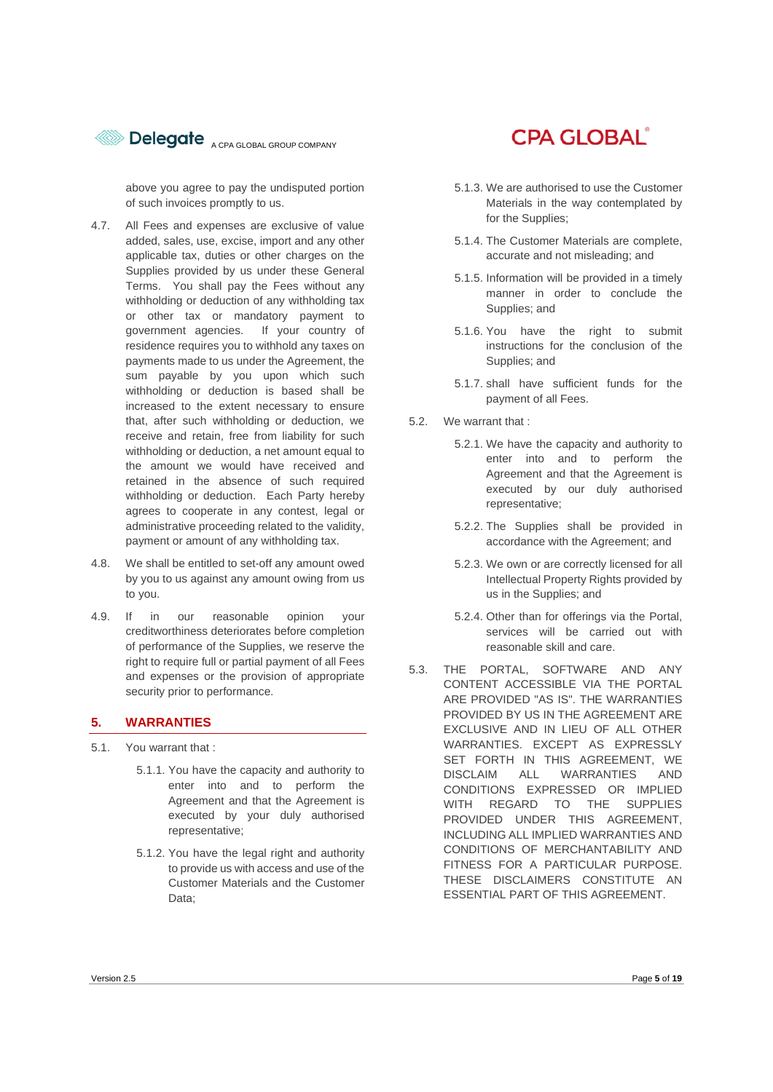

above you agree to pay the undisputed portion of such invoices promptly to us.

- 4.7. All Fees and expenses are exclusive of value added, sales, use, excise, import and any other applicable tax, duties or other charges on the Supplies provided by us under these General Terms. You shall pay the Fees without any withholding or deduction of any withholding tax or other tax or mandatory payment to government agencies. If your country of residence requires you to withhold any taxes on payments made to us under the Agreement, the sum payable by you upon which such withholding or deduction is based shall be increased to the extent necessary to ensure that, after such withholding or deduction, we receive and retain, free from liability for such withholding or deduction, a net amount equal to the amount we would have received and retained in the absence of such required withholding or deduction. Each Party hereby agrees to cooperate in any contest, legal or administrative proceeding related to the validity, payment or amount of any withholding tax.
- 4.8. We shall be entitled to set-off any amount owed by you to us against any amount owing from us to you.
- 4.9. If in our reasonable opinion your creditworthiness deteriorates before completion of performance of the Supplies, we reserve the right to require full or partial payment of all Fees and expenses or the provision of appropriate security prior to performance.

#### **5. WARRANTIES**

- 5.1. You warrant that :
	- 5.1.1. You have the capacity and authority to enter into and to perform the Agreement and that the Agreement is executed by your duly authorised representative;
	- 5.1.2. You have the legal right and authority to provide us with access and use of the Customer Materials and the Customer Data;

## **CPA GLOBAL**

- 5.1.3. We are authorised to use the Customer Materials in the way contemplated by for the Supplies;
- 5.1.4. The Customer Materials are complete, accurate and not misleading; and
- 5.1.5. Information will be provided in a timely manner in order to conclude the Supplies; and
- 5.1.6. You have the right to submit instructions for the conclusion of the Supplies; and
- 5.1.7. shall have sufficient funds for the payment of all Fees.
- 5.2. We warrant that :
	- 5.2.1. We have the capacity and authority to enter into and to perform the Agreement and that the Agreement is executed by our duly authorised representative;
	- 5.2.2. The Supplies shall be provided in accordance with the Agreement; and
	- 5.2.3. We own or are correctly licensed for all Intellectual Property Rights provided by us in the Supplies; and
	- 5.2.4. Other than for offerings via the Portal, services will be carried out with reasonable skill and care.
- 5.3. THE PORTAL, SOFTWARE AND ANY CONTENT ACCESSIBLE VIA THE PORTAL ARE PROVIDED "AS IS". THE WARRANTIES PROVIDED BY US IN THE AGREEMENT ARE EXCLUSIVE AND IN LIEU OF ALL OTHER WARRANTIES. EXCEPT AS EXPRESSLY SET FORTH IN THIS AGREEMENT, WE DISCLAIM ALL WARRANTIES AND CONDITIONS EXPRESSED OR IMPLIED WITH REGARD TO THE SUPPLIES PROVIDED UNDER THIS AGREEMENT, INCLUDING ALL IMPLIED WARRANTIES AND CONDITIONS OF MERCHANTABILITY AND FITNESS FOR A PARTICULAR PURPOSE. THESE DISCLAIMERS CONSTITUTE AN ESSENTIAL PART OF THIS AGREEMENT.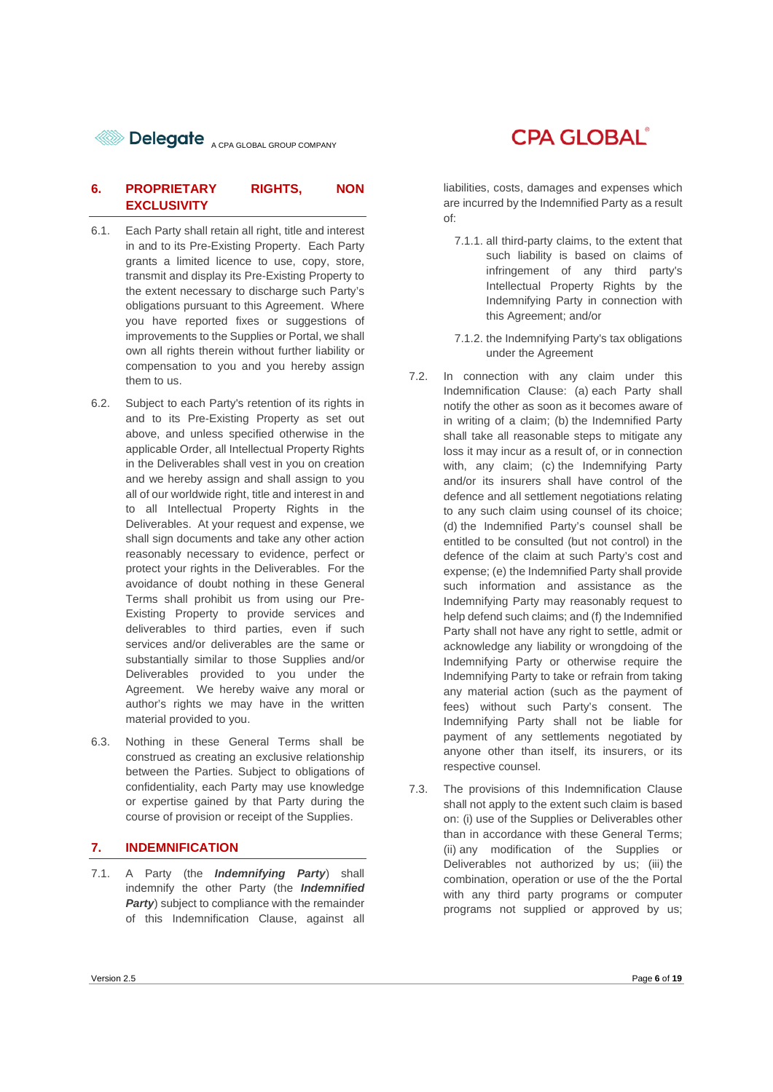**BElegate** A CPA GLOBAL GROUP COMPANY

#### **6. PROPRIETARY RIGHTS, NON EXCLUSIVITY**

- 6.1. Each Party shall retain all right, title and interest in and to its Pre-Existing Property. Each Party grants a limited licence to use, copy, store, transmit and display its Pre-Existing Property to the extent necessary to discharge such Party's obligations pursuant to this Agreement. Where you have reported fixes or suggestions of improvements to the Supplies or Portal, we shall own all rights therein without further liability or compensation to you and you hereby assign them to us.
- 6.2. Subject to each Party's retention of its rights in and to its Pre-Existing Property as set out above, and unless specified otherwise in the applicable Order, all Intellectual Property Rights in the Deliverables shall vest in you on creation and we hereby assign and shall assign to you all of our worldwide right, title and interest in and to all Intellectual Property Rights in the Deliverables. At your request and expense, we shall sign documents and take any other action reasonably necessary to evidence, perfect or protect your rights in the Deliverables. For the avoidance of doubt nothing in these General Terms shall prohibit us from using our Pre-Existing Property to provide services and deliverables to third parties, even if such services and/or deliverables are the same or substantially similar to those Supplies and/or Deliverables provided to you under the Agreement. We hereby waive any moral or author's rights we may have in the written material provided to you.
- 6.3. Nothing in these General Terms shall be construed as creating an exclusive relationship between the Parties. Subject to obligations of confidentiality, each Party may use knowledge or expertise gained by that Party during the course of provision or receipt of the Supplies.

#### **7. INDEMNIFICATION**

7.1. A Party (the *Indemnifying Party*) shall indemnify the other Party (the *Indemnified Party*) subject to compliance with the remainder of this Indemnification Clause, against all

### **CPA GLOBAL**®

liabilities, costs, damages and expenses which are incurred by the Indemnified Party as a result of:

- 7.1.1. all third-party claims, to the extent that such liability is based on claims of infringement of any third party's Intellectual Property Rights by the Indemnifying Party in connection with this Agreement; and/or
- 7.1.2. the Indemnifying Party's tax obligations under the Agreement
- 7.2. In connection with any claim under this Indemnification Clause: (a) each Party shall notify the other as soon as it becomes aware of in writing of a claim; (b) the Indemnified Party shall take all reasonable steps to mitigate any loss it may incur as a result of, or in connection with, any claim; (c) the Indemnifying Party and/or its insurers shall have control of the defence and all settlement negotiations relating to any such claim using counsel of its choice; (d) the Indemnified Party's counsel shall be entitled to be consulted (but not control) in the defence of the claim at such Party's cost and expense; (e) the Indemnified Party shall provide such information and assistance as the Indemnifying Party may reasonably request to help defend such claims; and (f) the Indemnified Party shall not have any right to settle, admit or acknowledge any liability or wrongdoing of the Indemnifying Party or otherwise require the Indemnifying Party to take or refrain from taking any material action (such as the payment of fees) without such Party's consent. The Indemnifying Party shall not be liable for payment of any settlements negotiated by anyone other than itself, its insurers, or its respective counsel.
- 7.3. The provisions of this Indemnification Clause shall not apply to the extent such claim is based on: (i) use of the Supplies or Deliverables other than in accordance with these General Terms; (ii) any modification of the Supplies or Deliverables not authorized by us; (iii) the combination, operation or use of the the Portal with any third party programs or computer programs not supplied or approved by us;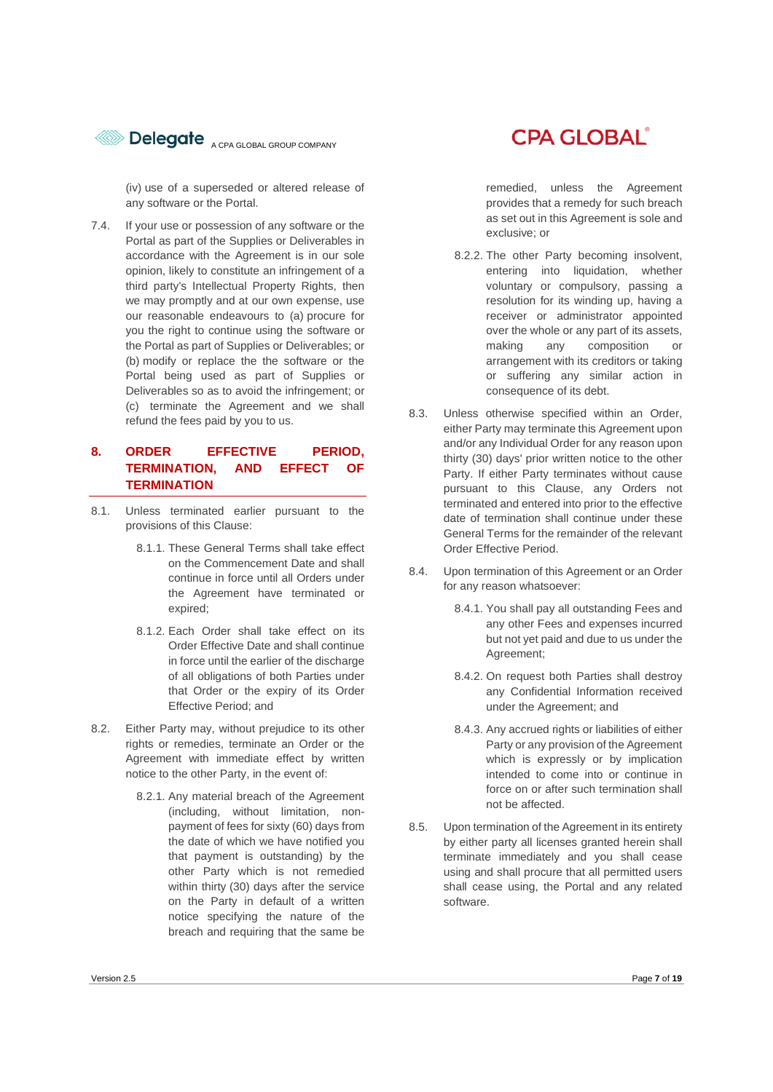

(iv) use of a superseded or altered release of any software or the Portal.

7.4. If your use or possession of any software or the Portal as part of the Supplies or Deliverables in accordance with the Agreement is in our sole opinion, likely to constitute an infringement of a third party's Intellectual Property Rights, then we may promptly and at our own expense, use our reasonable endeavours to (a) procure for you the right to continue using the software or the Portal as part of Supplies or Deliverables; or (b) modify or replace the the software or the Portal being used as part of Supplies or Deliverables so as to avoid the infringement; or (c) terminate the Agreement and we shall refund the fees paid by you to us.

#### **8. ORDER EFFECTIVE PERIOD, TERMINATION, AND EFFECT OF TERMINATION**

- 8.1. Unless terminated earlier pursuant to the provisions of this Clause:
	- 8.1.1. These General Terms shall take effect on the Commencement Date and shall continue in force until all Orders under the Agreement have terminated or expired;
	- 8.1.2. Each Order shall take effect on its Order Effective Date and shall continue in force until the earlier of the discharge of all obligations of both Parties under that Order or the expiry of its Order Effective Period; and
- 8.2. Either Party may, without prejudice to its other rights or remedies, terminate an Order or the Agreement with immediate effect by written notice to the other Party, in the event of:
	- 8.2.1. Any material breach of the Agreement (including, without limitation, nonpayment of fees for sixty (60) days from the date of which we have notified you that payment is outstanding) by the other Party which is not remedied within thirty (30) days after the service on the Party in default of a written notice specifying the nature of the breach and requiring that the same be

## **CPA GLOBAL®**

remedied, unless the Agreement provides that a remedy for such breach as set out in this Agreement is sole and exclusive; or

- 8.2.2. The other Party becoming insolvent, entering into liquidation, whether voluntary or compulsory, passing a resolution for its winding up, having a receiver or administrator appointed over the whole or any part of its assets, making any composition or arrangement with its creditors or taking or suffering any similar action in consequence of its debt.
- 8.3. Unless otherwise specified within an Order, either Party may terminate this Agreement upon and/or any Individual Order for any reason upon thirty (30) days' prior written notice to the other Party. If either Party terminates without cause pursuant to this Clause, any Orders not terminated and entered into prior to the effective date of termination shall continue under these General Terms for the remainder of the relevant Order Effective Period.
- 8.4. Upon termination of this Agreement or an Order for any reason whatsoever:
	- 8.4.1. You shall pay all outstanding Fees and any other Fees and expenses incurred but not yet paid and due to us under the Agreement;
	- 8.4.2. On request both Parties shall destroy any Confidential Information received under the Agreement; and
	- 8.4.3. Any accrued rights or liabilities of either Party or any provision of the Agreement which is expressly or by implication intended to come into or continue in force on or after such termination shall not be affected.
- 8.5. Upon termination of the Agreement in its entirety by either party all licenses granted herein shall terminate immediately and you shall cease using and shall procure that all permitted users shall cease using, the Portal and any related software.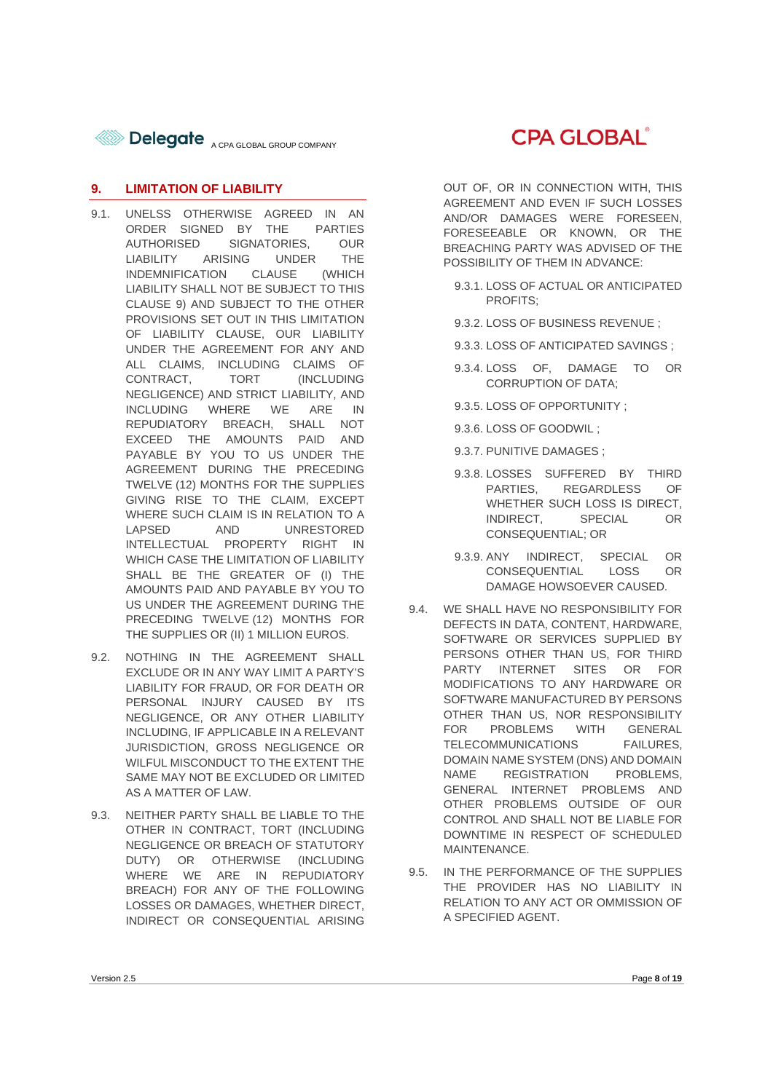

#### **9. LIMITATION OF LIABILITY**

- 9.1. UNELSS OTHERWISE AGREED IN AN ORDER SIGNED BY THE PARTIES AUTHORISED SIGNATORIES, OUR LIABILITY ARISING UNDER THE INDEMNIFICATION CLAUSE (WHICH LIABILITY SHALL NOT BE SUBJECT TO THIS CLAUSE 9) AND SUBJECT TO THE OTHER PROVISIONS SET OUT IN THIS LIMITATION OF LIABILITY CLAUSE, OUR LIABILITY UNDER THE AGREEMENT FOR ANY AND ALL CLAIMS, INCLUDING CLAIMS OF CONTRACT, TORT (INCLUDING NEGLIGENCE) AND STRICT LIABILITY, AND INCLUDING WHERE WE ARE IN REPUDIATORY BREACH, SHALL NOT EXCEED THE AMOUNTS PAID AND PAYABLE BY YOU TO US UNDER THE AGREEMENT DURING THE PRECEDING TWELVE (12) MONTHS FOR THE SUPPLIES GIVING RISE TO THE CLAIM, EXCEPT WHERE SUCH CLAIM IS IN RELATION TO A LAPSED AND UNRESTORED INTELLECTUAL PROPERTY RIGHT IN WHICH CASE THE LIMITATION OF LIABILITY SHALL BE THE GREATER OF (I) THE AMOUNTS PAID AND PAYABLE BY YOU TO US UNDER THE AGREEMENT DURING THE PRECEDING TWELVE (12) MONTHS FOR THE SUPPLIES OR (II) 1 MILLION EUROS.
- 9.2. NOTHING IN THE AGREEMENT SHALL EXCLUDE OR IN ANY WAY LIMIT A PARTY'S LIABILITY FOR FRAUD, OR FOR DEATH OR PERSONAL INJURY CAUSED BY ITS NEGLIGENCE, OR ANY OTHER LIABILITY INCLUDING, IF APPLICABLE IN A RELEVANT JURISDICTION, GROSS NEGLIGENCE OR WILFUL MISCONDUCT TO THE EXTENT THE SAME MAY NOT BE EXCLUDED OR LIMITED AS A MATTER OF LAW.
- 9.3. NEITHER PARTY SHALL BE LIABLE TO THE OTHER IN CONTRACT, TORT (INCLUDING NEGLIGENCE OR BREACH OF STATUTORY DUTY) OR OTHERWISE (INCLUDING WHERE WE ARE IN REPUDIATORY BREACH) FOR ANY OF THE FOLLOWING LOSSES OR DAMAGES, WHETHER DIRECT, INDIRECT OR CONSEQUENTIAL ARISING



OUT OF, OR IN CONNECTION WITH, THIS AGREEMENT AND EVEN IF SUCH LOSSES AND/OR DAMAGES WERE FORESEEN, FORESEEABLE OR KNOWN, OR THE BREACHING PARTY WAS ADVISED OF THE POSSIBILITY OF THEM IN ADVANCE:

- 9.3.1. LOSS OF ACTUAL OR ANTICIPATED PROFITS;
- 9.3.2. LOSS OF BUSINESS REVENUE ;
- 9.3.3. LOSS OF ANTICIPATED SAVINGS ;
- 9.3.4. LOSS OF, DAMAGE TO OR CORRUPTION OF DATA;
- 9.3.5. LOSS OF OPPORTUNITY ;
- 9.3.6. LOSS OF GOODWIL ;
- 9.3.7. PUNITIVE DAMAGES ;
- 9.3.8. LOSSES SUFFERED BY THIRD PARTIES, REGARDLESS OF WHETHER SUCH LOSS IS DIRECT, INDIRECT, SPECIAL OR CONSEQUENTIAL; OR
- 9.3.9. ANY INDIRECT, SPECIAL OR CONSEQUENTIAL LOSS OR DAMAGE HOWSOEVER CAUSED.
- 9.4. WE SHALL HAVE NO RESPONSIBILITY FOR DEFECTS IN DATA, CONTENT, HARDWARE, SOFTWARE OR SERVICES SUPPLIED BY PERSONS OTHER THAN US, FOR THIRD PARTY INTERNET SITES OR FOR MODIFICATIONS TO ANY HARDWARE OR SOFTWARE MANUFACTURED BY PERSONS OTHER THAN US, NOR RESPONSIBILITY FOR PROBLEMS WITH GENERAL TELECOMMUNICATIONS FAILURES, DOMAIN NAME SYSTEM (DNS) AND DOMAIN NAME REGISTRATION PROBLEMS, GENERAL INTERNET PROBLEMS AND OTHER PROBLEMS OUTSIDE OF OUR CONTROL AND SHALL NOT BE LIABLE FOR DOWNTIME IN RESPECT OF SCHEDULED MAINTENANCE.
- 9.5. IN THE PERFORMANCE OF THE SUPPLIES THE PROVIDER HAS NO LIABILITY IN RELATION TO ANY ACT OR OMMISSION OF A SPECIFIED AGENT.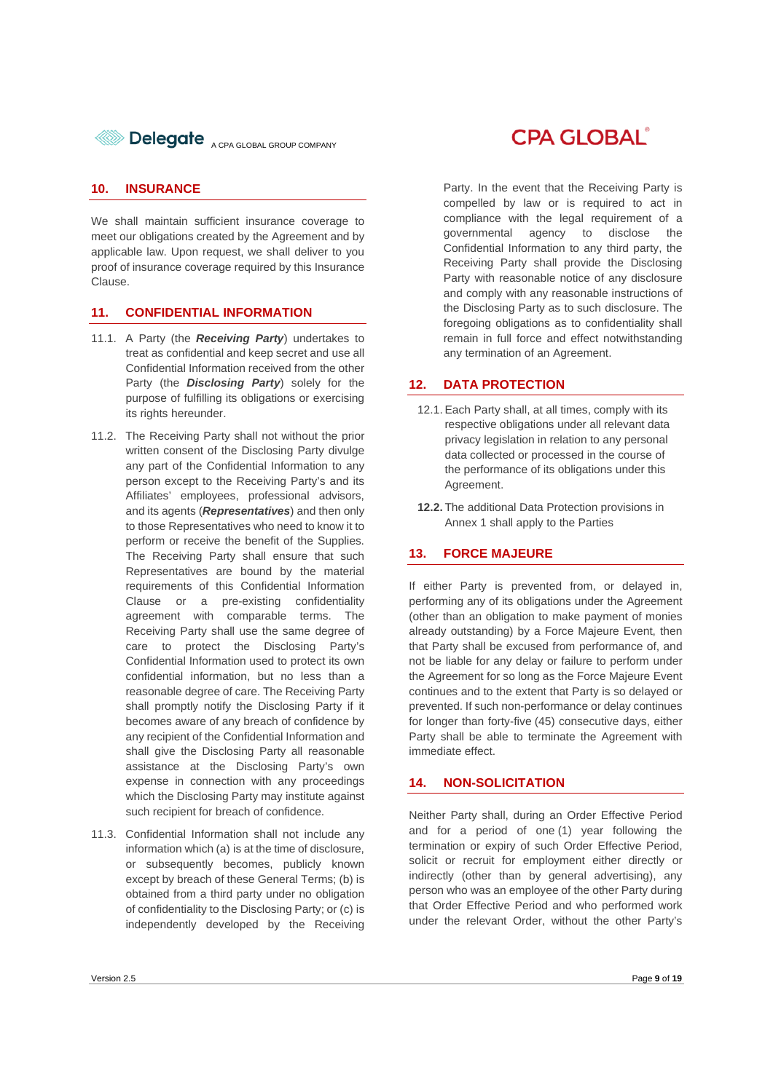

#### **10. INSURANCE**

We shall maintain sufficient insurance coverage to meet our obligations created by the Agreement and by applicable law. Upon request, we shall deliver to you proof of insurance coverage required by this Insurance Clause.

#### **11. CONFIDENTIAL INFORMATION**

- 11.1. A Party (the *Receiving Party*) undertakes to treat as confidential and keep secret and use all Confidential Information received from the other Party (the *Disclosing Party*) solely for the purpose of fulfilling its obligations or exercising its rights hereunder.
- 11.2. The Receiving Party shall not without the prior written consent of the Disclosing Party divulge any part of the Confidential Information to any person except to the Receiving Party's and its Affiliates' employees, professional advisors, and its agents (*Representatives*) and then only to those Representatives who need to know it to perform or receive the benefit of the Supplies. The Receiving Party shall ensure that such Representatives are bound by the material requirements of this Confidential Information Clause or a pre-existing confidentiality agreement with comparable terms. The Receiving Party shall use the same degree of care to protect the Disclosing Party's Confidential Information used to protect its own confidential information, but no less than a reasonable degree of care. The Receiving Party shall promptly notify the Disclosing Party if it becomes aware of any breach of confidence by any recipient of the Confidential Information and shall give the Disclosing Party all reasonable assistance at the Disclosing Party's own expense in connection with any proceedings which the Disclosing Party may institute against such recipient for breach of confidence.
- 11.3. Confidential Information shall not include any information which (a) is at the time of disclosure, or subsequently becomes, publicly known except by breach of these General Terms; (b) is obtained from a third party under no obligation of confidentiality to the Disclosing Party; or (c) is independently developed by the Receiving

### **CPA GLOBAL**

Party. In the event that the Receiving Party is compelled by law or is required to act in compliance with the legal requirement of a governmental agency to disclose the Confidential Information to any third party, the Receiving Party shall provide the Disclosing Party with reasonable notice of any disclosure and comply with any reasonable instructions of the Disclosing Party as to such disclosure. The foregoing obligations as to confidentiality shall remain in full force and effect notwithstanding any termination of an Agreement.

#### **12. DATA PROTECTION**

- 12.1. Each Party shall, at all times, comply with its respective obligations under all relevant data privacy legislation in relation to any personal data collected or processed in the course of the performance of its obligations under this Agreement.
- **12.2.** The additional Data Protection provisions in Annex 1 shall apply to the Parties

#### **13. FORCE MAJEURE**

If either Party is prevented from, or delayed in, performing any of its obligations under the Agreement (other than an obligation to make payment of monies already outstanding) by a Force Majeure Event, then that Party shall be excused from performance of, and not be liable for any delay or failure to perform under the Agreement for so long as the Force Majeure Event continues and to the extent that Party is so delayed or prevented. If such non-performance or delay continues for longer than forty-five (45) consecutive days, either Party shall be able to terminate the Agreement with immediate effect.

#### **14. NON-SOLICITATION**

Neither Party shall, during an Order Effective Period and for a period of one (1) year following the termination or expiry of such Order Effective Period, solicit or recruit for employment either directly or indirectly (other than by general advertising), any person who was an employee of the other Party during that Order Effective Period and who performed work under the relevant Order, without the other Party's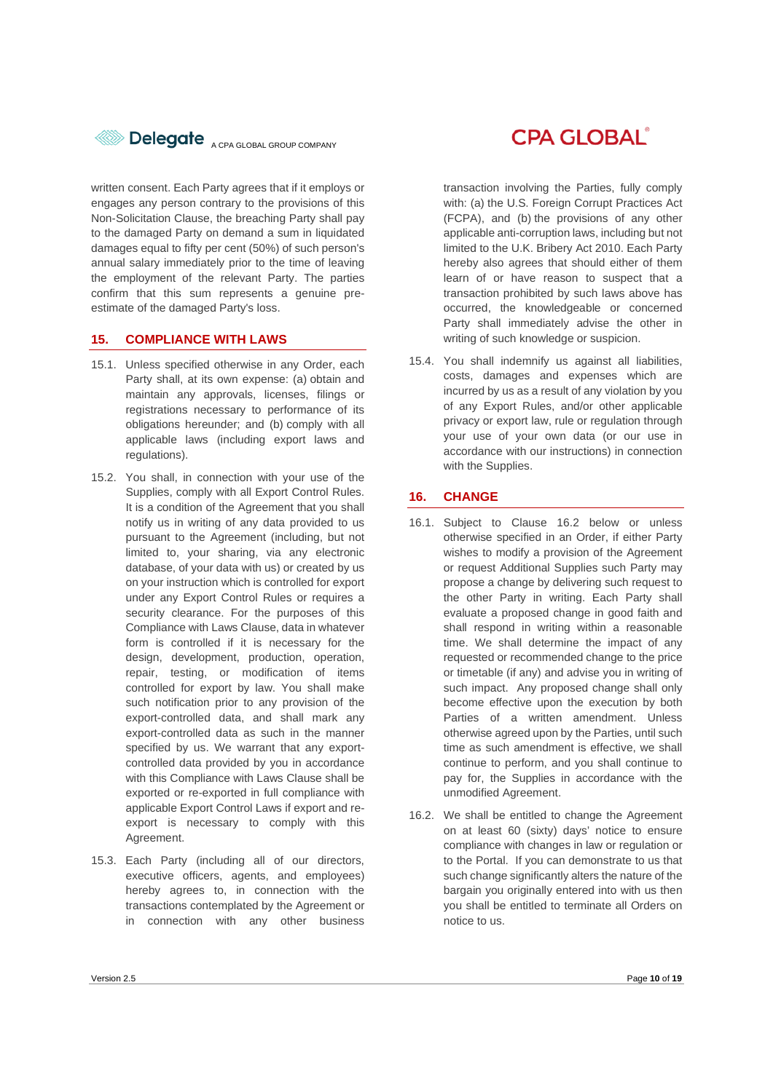

written consent. Each Party agrees that if it employs or engages any person contrary to the provisions of this Non-Solicitation Clause, the breaching Party shall pay to the damaged Party on demand a sum in liquidated damages equal to fifty per cent (50%) of such person's annual salary immediately prior to the time of leaving the employment of the relevant Party. The parties confirm that this sum represents a genuine preestimate of the damaged Party's loss.

#### **15. COMPLIANCE WITH LAWS**

- 15.1. Unless specified otherwise in any Order, each Party shall, at its own expense: (a) obtain and maintain any approvals, licenses, filings or registrations necessary to performance of its obligations hereunder; and (b) comply with all applicable laws (including export laws and regulations).
- 15.2. You shall, in connection with your use of the Supplies, comply with all Export Control Rules. It is a condition of the Agreement that you shall notify us in writing of any data provided to us pursuant to the Agreement (including, but not limited to, your sharing, via any electronic database, of your data with us) or created by us on your instruction which is controlled for export under any Export Control Rules or requires a security clearance. For the purposes of this Compliance with Laws Clause, data in whatever form is controlled if it is necessary for the design, development, production, operation, repair, testing, or modification of items controlled for export by law. You shall make such notification prior to any provision of the export-controlled data, and shall mark any export-controlled data as such in the manner specified by us. We warrant that any exportcontrolled data provided by you in accordance with this Compliance with Laws Clause shall be exported or re-exported in full compliance with applicable Export Control Laws if export and reexport is necessary to comply with this Agreement.
- 15.3. Each Party (including all of our directors, executive officers, agents, and employees) hereby agrees to, in connection with the transactions contemplated by the Agreement or in connection with any other business

## **CPA GLOBAL**®

transaction involving the Parties, fully comply with: (a) the U.S. Foreign Corrupt Practices Act (FCPA), and (b) the provisions of any other applicable anti-corruption laws, including but not limited to the U.K. Bribery Act 2010. Each Party hereby also agrees that should either of them learn of or have reason to suspect that a transaction prohibited by such laws above has occurred, the knowledgeable or concerned Party shall immediately advise the other in writing of such knowledge or suspicion.

15.4. You shall indemnify us against all liabilities, costs, damages and expenses which are incurred by us as a result of any violation by you of any Export Rules, and/or other applicable privacy or export law, rule or regulation through your use of your own data (or our use in accordance with our instructions) in connection with the Supplies.

#### **16. CHANGE**

- 16.1. Subject to Clause 16.2 below or unless otherwise specified in an Order, if either Party wishes to modify a provision of the Agreement or request Additional Supplies such Party may propose a change by delivering such request to the other Party in writing. Each Party shall evaluate a proposed change in good faith and shall respond in writing within a reasonable time. We shall determine the impact of any requested or recommended change to the price or timetable (if any) and advise you in writing of such impact. Any proposed change shall only become effective upon the execution by both Parties of a written amendment. Unless otherwise agreed upon by the Parties, until such time as such amendment is effective, we shall continue to perform, and you shall continue to pay for, the Supplies in accordance with the unmodified Agreement.
- 16.2. We shall be entitled to change the Agreement on at least 60 (sixty) days' notice to ensure compliance with changes in law or regulation or to the Portal. If you can demonstrate to us that such change significantly alters the nature of the bargain you originally entered into with us then you shall be entitled to terminate all Orders on notice to us.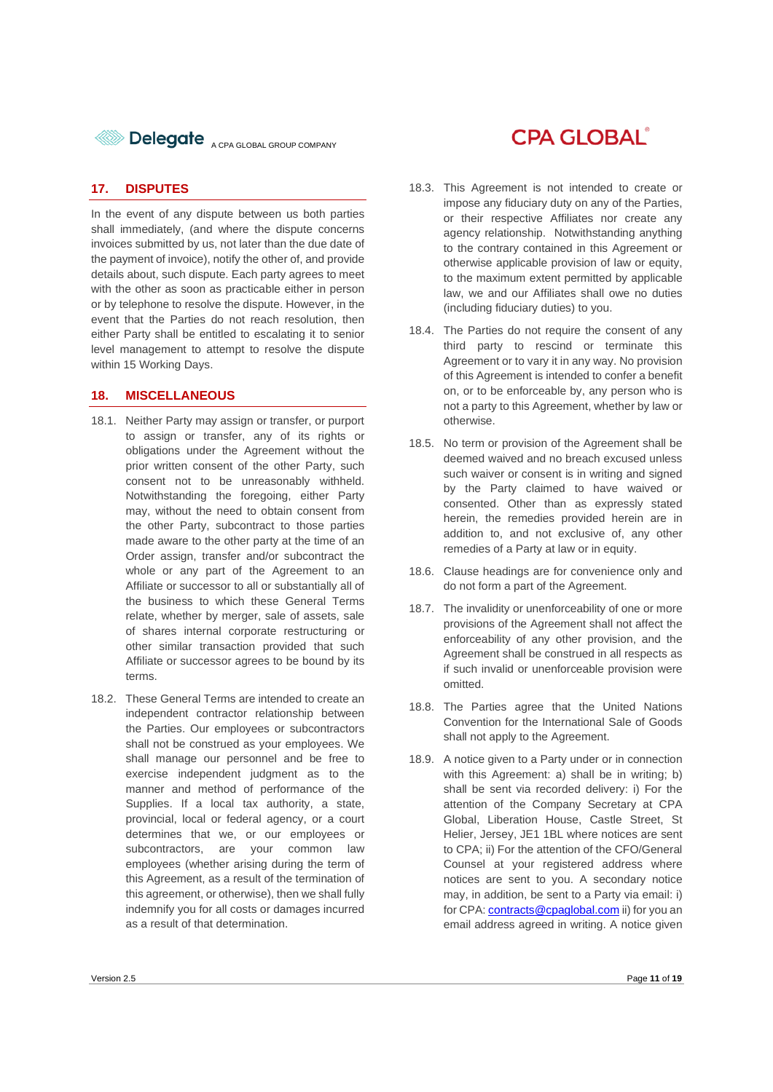

#### **17. DISPUTES**

In the event of any dispute between us both parties shall immediately, (and where the dispute concerns invoices submitted by us, not later than the due date of the payment of invoice), notify the other of, and provide details about, such dispute. Each party agrees to meet with the other as soon as practicable either in person or by telephone to resolve the dispute. However, in the event that the Parties do not reach resolution, then either Party shall be entitled to escalating it to senior level management to attempt to resolve the dispute within 15 Working Days.

#### **18. MISCELLANEOUS**

- 18.1. Neither Party may assign or transfer, or purport to assign or transfer, any of its rights or obligations under the Agreement without the prior written consent of the other Party, such consent not to be unreasonably withheld. Notwithstanding the foregoing, either Party may, without the need to obtain consent from the other Party, subcontract to those parties made aware to the other party at the time of an Order assign, transfer and/or subcontract the whole or any part of the Agreement to an Affiliate or successor to all or substantially all of the business to which these General Terms relate, whether by merger, sale of assets, sale of shares internal corporate restructuring or other similar transaction provided that such Affiliate or successor agrees to be bound by its terms.
- 18.2. These General Terms are intended to create an independent contractor relationship between the Parties. Our employees or subcontractors shall not be construed as your employees. We shall manage our personnel and be free to exercise independent judgment as to the manner and method of performance of the Supplies. If a local tax authority, a state, provincial, local or federal agency, or a court determines that we, or our employees or subcontractors, are your common law employees (whether arising during the term of this Agreement, as a result of the termination of this agreement, or otherwise), then we shall fully indemnify you for all costs or damages incurred as a result of that determination.

### **CPA GLOBAL**®

- 18.3. This Agreement is not intended to create or impose any fiduciary duty on any of the Parties, or their respective Affiliates nor create any agency relationship. Notwithstanding anything to the contrary contained in this Agreement or otherwise applicable provision of law or equity, to the maximum extent permitted by applicable law, we and our Affiliates shall owe no duties (including fiduciary duties) to you.
- 18.4. The Parties do not require the consent of any third party to rescind or terminate this Agreement or to vary it in any way. No provision of this Agreement is intended to confer a benefit on, or to be enforceable by, any person who is not a party to this Agreement, whether by law or otherwise.
- 18.5. No term or provision of the Agreement shall be deemed waived and no breach excused unless such waiver or consent is in writing and signed by the Party claimed to have waived or consented. Other than as expressly stated herein, the remedies provided herein are in addition to, and not exclusive of, any other remedies of a Party at law or in equity.
- 18.6. Clause headings are for convenience only and do not form a part of the Agreement.
- 18.7. The invalidity or unenforceability of one or more provisions of the Agreement shall not affect the enforceability of any other provision, and the Agreement shall be construed in all respects as if such invalid or unenforceable provision were omitted.
- 18.8. The Parties agree that the United Nations Convention for the International Sale of Goods shall not apply to the Agreement.
- 18.9. A notice given to a Party under or in connection with this Agreement: a) shall be in writing; b) shall be sent via recorded delivery: i) For the attention of the Company Secretary at CPA Global, Liberation House, Castle Street, St Helier, Jersey, JE1 1BL where notices are sent to CPA; ii) For the attention of the CFO/General Counsel at your registered address where notices are sent to you. A secondary notice may, in addition, be sent to a Party via email: i) for CPA: contracts@cpaglobal.com ii) for you an email address agreed in writing. A notice given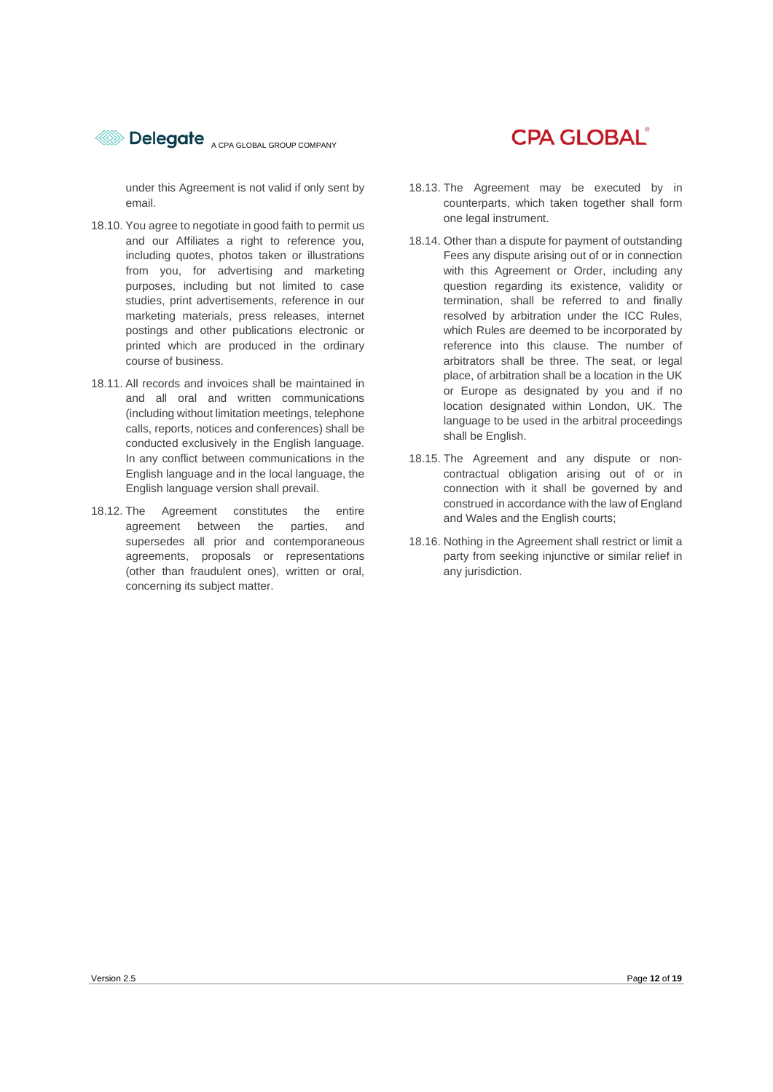

under this Agreement is not valid if only sent by email.

- 18.10. You agree to negotiate in good faith to permit us and our Affiliates a right to reference you, including quotes, photos taken or illustrations from you, for advertising and marketing purposes, including but not limited to case studies, print advertisements, reference in our marketing materials, press releases, internet postings and other publications electronic or printed which are produced in the ordinary course of business.
- 18.11. All records and invoices shall be maintained in and all oral and written communications (including without limitation meetings, telephone calls, reports, notices and conferences) shall be conducted exclusively in the English language. In any conflict between communications in the English language and in the local language, the English language version shall prevail.
- 18.12. The Agreement constitutes the entire agreement between the parties, and supersedes all prior and contemporaneous agreements, proposals or representations (other than fraudulent ones), written or oral, concerning its subject matter.

## **CPA GLOBAL**®

- 18.13. The Agreement may be executed by in counterparts, which taken together shall form one legal instrument.
- 18.14. Other than a dispute for payment of outstanding Fees any dispute arising out of or in connection with this Agreement or Order, including any question regarding its existence, validity or termination, shall be referred to and finally resolved by arbitration under the ICC Rules, which Rules are deemed to be incorporated by reference into this clause. The number of arbitrators shall be three. The seat, or legal place, of arbitration shall be a location in the UK or Europe as designated by you and if no location designated within London, UK. The language to be used in the arbitral proceedings shall be English.
- 18.15. The Agreement and any dispute or noncontractual obligation arising out of or in connection with it shall be governed by and construed in accordance with the law of England and Wales and the English courts;
- 18.16. Nothing in the Agreement shall restrict or limit a party from seeking injunctive or similar relief in any jurisdiction.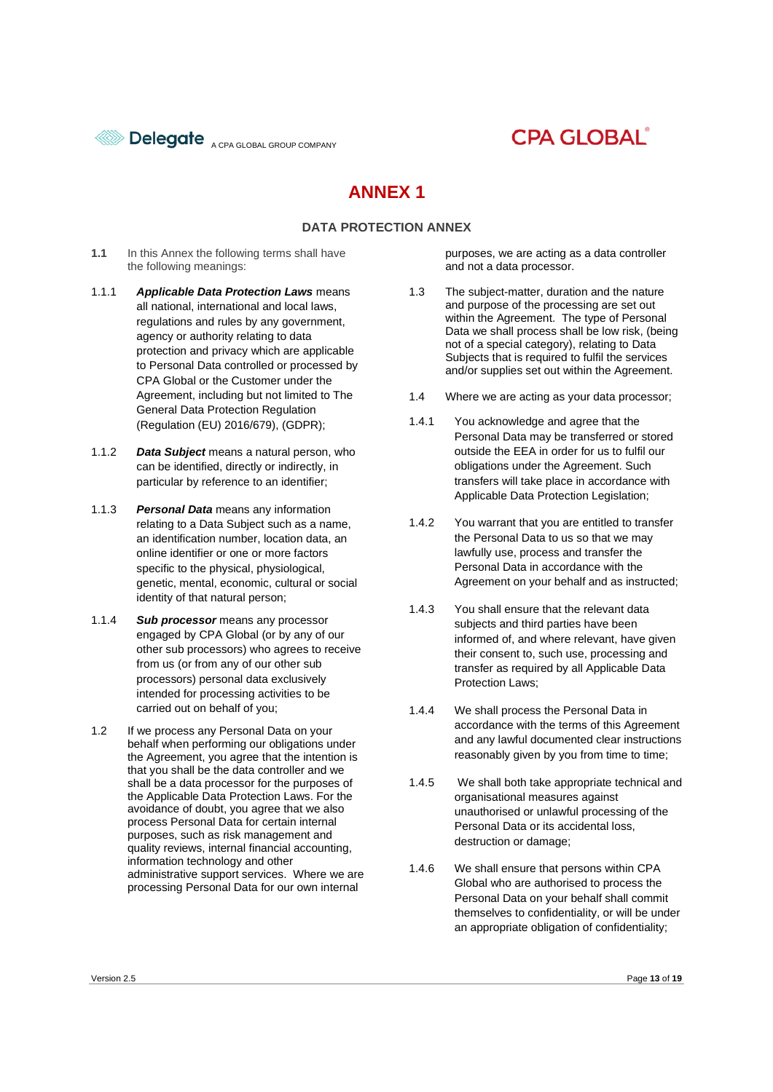

## **CPA GLOBAL**

### **ANNEX 1**

#### **DATA PROTECTION ANNEX**

- **1.1** In this Annex the following terms shall have the following meanings:
- 1.1.1 *Applicable Data Protection Laws* means all national, international and local laws, regulations and rules by any government, agency or authority relating to data protection and privacy which are applicable to Personal Data controlled or processed by CPA Global or the Customer under the Agreement, including but not limited to The General Data Protection Regulation (Regulation (EU) 2016/679), (GDPR);
- 1.1.2 *Data Subject* means a natural person, who can be identified, directly or indirectly, in particular by reference to an identifier;
- 1.1.3 *Personal Data* means any information relating to a Data Subject such as a name, an identification number, location data, an online identifier or one or more factors specific to the physical, physiological, genetic, mental, economic, cultural or social identity of that natural person;
- 1.1.4 *Sub processor* means any processor engaged by CPA Global (or by any of our other sub processors) who agrees to receive from us (or from any of our other sub processors) personal data exclusively intended for processing activities to be carried out on behalf of you;
- 1.2 If we process any Personal Data on your behalf when performing our obligations under the Agreement, you agree that the intention is that you shall be the data controller and we shall be a data processor for the purposes of the Applicable Data Protection Laws. For the avoidance of doubt, you agree that we also process Personal Data for certain internal purposes, such as risk management and quality reviews, internal financial accounting, information technology and other administrative support services. Where we are processing Personal Data for our own internal

purposes, we are acting as a data controller and not a data processor.

- 1.3 The subject-matter, duration and the nature and purpose of the processing are set out within the Agreement. The type of Personal Data we shall process shall be low risk, (being not of a special category), relating to Data Subjects that is required to fulfil the services and/or supplies set out within the Agreement.
- 1.4 Where we are acting as your data processor;
- 1.4.1 You acknowledge and agree that the Personal Data may be transferred or stored outside the EEA in order for us to fulfil our obligations under the Agreement. Such transfers will take place in accordance with Applicable Data Protection Legislation;
- 1.4.2 You warrant that you are entitled to transfer the Personal Data to us so that we may lawfully use, process and transfer the Personal Data in accordance with the Agreement on your behalf and as instructed;
- 1.4.3 You shall ensure that the relevant data subjects and third parties have been informed of, and where relevant, have given their consent to, such use, processing and transfer as required by all Applicable Data Protection Laws;
- 1.4.4 We shall process the Personal Data in accordance with the terms of this Agreement and any lawful documented clear instructions reasonably given by you from time to time;
- 1.4.5 We shall both take appropriate technical and organisational measures against unauthorised or unlawful processing of the Personal Data or its accidental loss, destruction or damage;
- 1.4.6 We shall ensure that persons within CPA Global who are authorised to process the Personal Data on your behalf shall commit themselves to confidentiality, or will be under an appropriate obligation of confidentiality;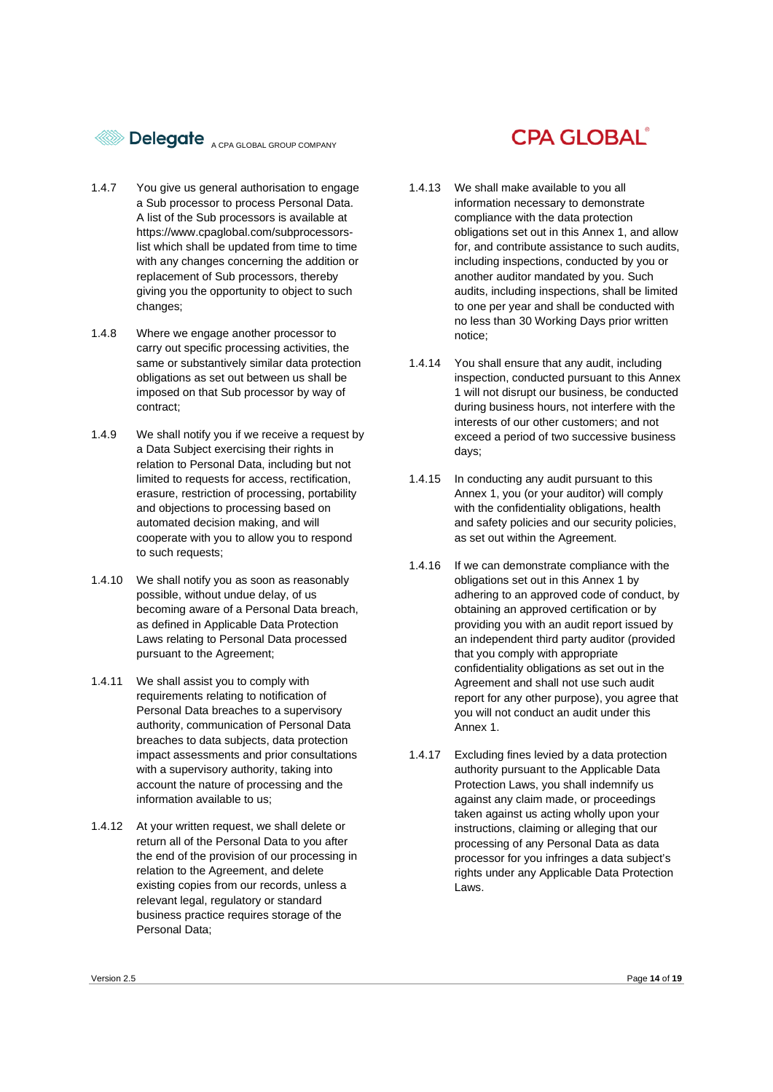

- 1.4.7 You give us general authorisation to engage a Sub processor to process Personal Data. A list of the Sub processors is available at https://www.cpaglobal.com/subprocessorslist which shall be updated from time to time with any changes concerning the addition or replacement of Sub processors, thereby giving you the opportunity to object to such changes;
- 1.4.8 Where we engage another processor to carry out specific processing activities, the same or substantively similar data protection obligations as set out between us shall be imposed on that Sub processor by way of contract;
- 1.4.9 We shall notify you if we receive a request by a Data Subject exercising their rights in relation to Personal Data, including but not limited to requests for access, rectification, erasure, restriction of processing, portability and objections to processing based on automated decision making, and will cooperate with you to allow you to respond to such requests;
- 1.4.10 We shall notify you as soon as reasonably possible, without undue delay, of us becoming aware of a Personal Data breach, as defined in Applicable Data Protection Laws relating to Personal Data processed pursuant to the Agreement;
- 1.4.11 We shall assist you to comply with requirements relating to notification of Personal Data breaches to a supervisory authority, communication of Personal Data breaches to data subjects, data protection impact assessments and prior consultations with a supervisory authority, taking into account the nature of processing and the information available to us;
- 1.4.12 At your written request, we shall delete or return all of the Personal Data to you after the end of the provision of our processing in relation to the Agreement, and delete existing copies from our records, unless a relevant legal, regulatory or standard business practice requires storage of the Personal Data;

## **CPA GLOBAL®**

- 1.4.13 We shall make available to you all information necessary to demonstrate compliance with the data protection obligations set out in this Annex 1, and allow for, and contribute assistance to such audits, including inspections, conducted by you or another auditor mandated by you. Such audits, including inspections, shall be limited to one per year and shall be conducted with no less than 30 Working Days prior written notice;
- 1.4.14 You shall ensure that any audit, including inspection, conducted pursuant to this Annex 1 will not disrupt our business, be conducted during business hours, not interfere with the interests of our other customers; and not exceed a period of two successive business days;
- 1.4.15 In conducting any audit pursuant to this Annex 1, you (or your auditor) will comply with the confidentiality obligations, health and safety policies and our security policies, as set out within the Agreement.
- 1.4.16 If we can demonstrate compliance with the obligations set out in this Annex 1 by adhering to an approved code of conduct, by obtaining an approved certification or by providing you with an audit report issued by an independent third party auditor (provided that you comply with appropriate confidentiality obligations as set out in the Agreement and shall not use such audit report for any other purpose), you agree that you will not conduct an audit under this Annex 1.
- 1.4.17 Excluding fines levied by a data protection authority pursuant to the Applicable Data Protection Laws, you shall indemnify us against any claim made, or proceedings taken against us acting wholly upon your instructions, claiming or alleging that our processing of any Personal Data as data processor for you infringes a data subject's rights under any Applicable Data Protection Laws.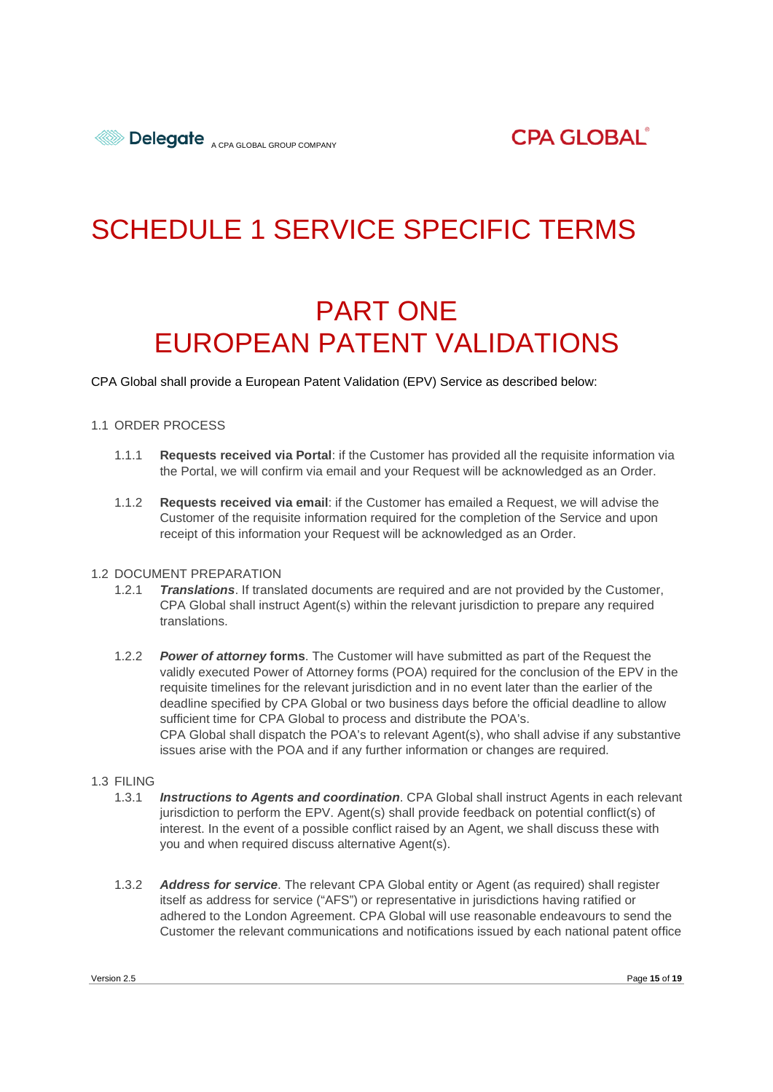# SCHEDULE 1 SERVICE SPECIFIC TERMS

# PART ONE EUROPEAN PATENT VALIDATIONS

CPA Global shall provide a European Patent Validation (EPV) Service as described below:

#### 1.1 ORDER PROCESS

- 1.1.1 **Requests received via Portal**: if the Customer has provided all the requisite information via the Portal, we will confirm via email and your Request will be acknowledged as an Order.
- 1.1.2 **Requests received via email**: if the Customer has emailed a Request, we will advise the Customer of the requisite information required for the completion of the Service and upon receipt of this information your Request will be acknowledged as an Order.

#### 1.2 DOCUMENT PREPARATION

- 1.2.1 *Translations*. If translated documents are required and are not provided by the Customer, CPA Global shall instruct Agent(s) within the relevant jurisdiction to prepare any required translations.
- 1.2.2 *Power of attorney* **forms**. The Customer will have submitted as part of the Request the validly executed Power of Attorney forms (POA) required for the conclusion of the EPV in the requisite timelines for the relevant jurisdiction and in no event later than the earlier of the deadline specified by CPA Global or two business days before the official deadline to allow sufficient time for CPA Global to process and distribute the POA's. CPA Global shall dispatch the POA's to relevant Agent(s), who shall advise if any substantive issues arise with the POA and if any further information or changes are required.

#### 1.3 FILING

- 1.3.1 *Instructions to Agents and coordination*. CPA Global shall instruct Agents in each relevant jurisdiction to perform the EPV. Agent(s) shall provide feedback on potential conflict(s) of interest. In the event of a possible conflict raised by an Agent, we shall discuss these with you and when required discuss alternative Agent(s).
- 1.3.2 *Address for service*. The relevant CPA Global entity or Agent (as required) shall register itself as address for service ("AFS") or representative in jurisdictions having ratified or adhered to the London Agreement. CPA Global will use reasonable endeavours to send the Customer the relevant communications and notifications issued by each national patent office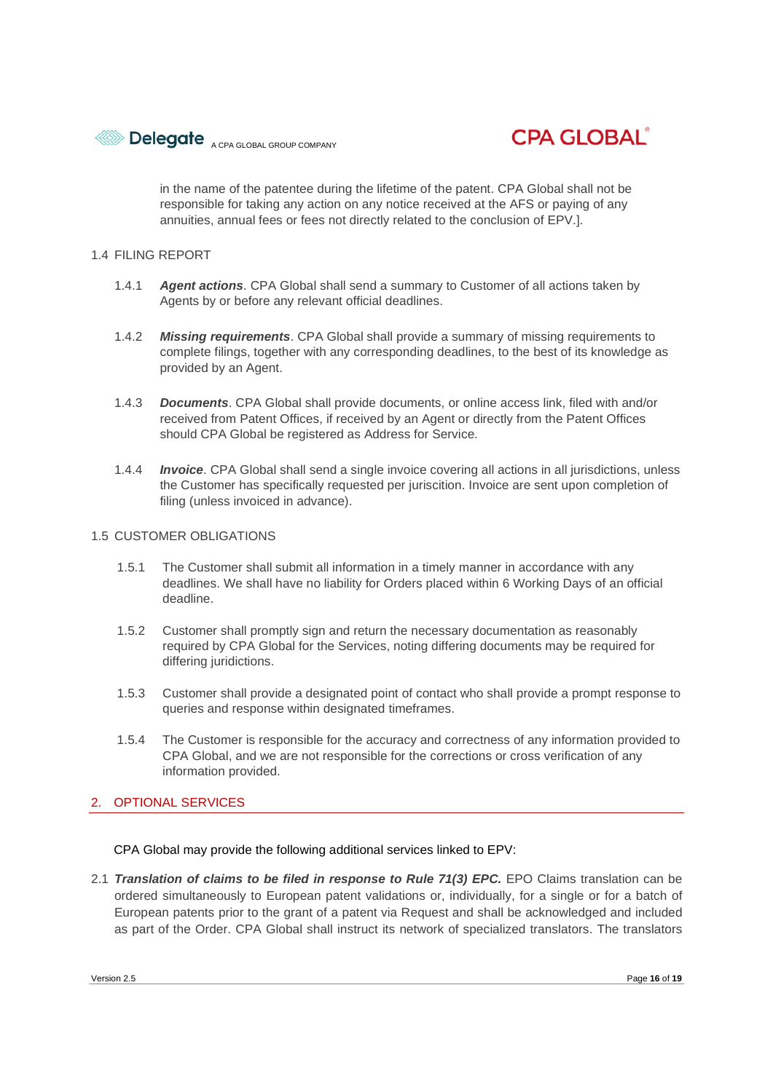



in the name of the patentee during the lifetime of the patent. CPA Global shall not be responsible for taking any action on any notice received at the AFS or paying of any annuities, annual fees or fees not directly related to the conclusion of EPV.].

#### 1.4 FILING REPORT

- 1.4.1 *Agent actions*. CPA Global shall send a summary to Customer of all actions taken by Agents by or before any relevant official deadlines.
- 1.4.2 *Missing requirements*. CPA Global shall provide a summary of missing requirements to complete filings, together with any corresponding deadlines, to the best of its knowledge as provided by an Agent.
- 1.4.3 *Documents*. CPA Global shall provide documents, or online access link, filed with and/or received from Patent Offices, if received by an Agent or directly from the Patent Offices should CPA Global be registered as Address for Service.
- 1.4.4 *Invoice*. CPA Global shall send a single invoice covering all actions in all jurisdictions, unless the Customer has specifically requested per juriscition. Invoice are sent upon completion of filing (unless invoiced in advance).

#### 1.5 CUSTOMER OBLIGATIONS

- 1.5.1 The Customer shall submit all information in a timely manner in accordance with any deadlines. We shall have no liability for Orders placed within 6 Working Days of an official deadline.
- 1.5.2 Customer shall promptly sign and return the necessary documentation as reasonably required by CPA Global for the Services, noting differing documents may be required for differing juridictions.
- 1.5.3 Customer shall provide a designated point of contact who shall provide a prompt response to queries and response within designated timeframes.
- 1.5.4 The Customer is responsible for the accuracy and correctness of any information provided to CPA Global, and we are not responsible for the corrections or cross verification of any information provided.

#### 2. OPTIONAL SERVICES

CPA Global may provide the following additional services linked to EPV:

2.1 *Translation of claims to be filed in response to Rule 71(3) EPC.* EPO Claims translation can be ordered simultaneously to European patent validations or, individually, for a single or for a batch of European patents prior to the grant of a patent via Request and shall be acknowledged and included as part of the Order. CPA Global shall instruct its network of specialized translators. The translators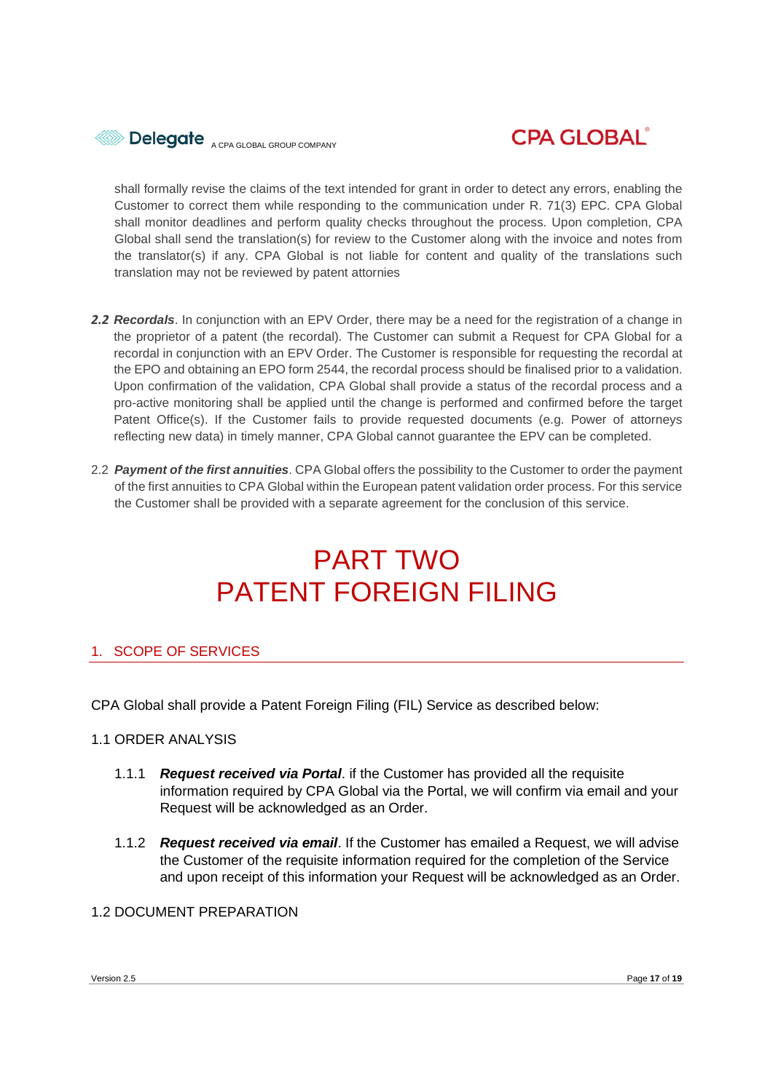



shall formally revise the claims of the text intended for grant in order to detect any errors, enabling the Customer to correct them while responding to the communication under R. 71(3) EPC. CPA Global shall monitor deadlines and perform quality checks throughout the process. Upon completion, CPA Global shall send the translation(s) for review to the Customer along with the invoice and notes from the translator(s) if any. CPA Global is not liable for content and quality of the translations such translation may not be reviewed by patent attornies

- *2.2 Recordals*. In conjunction with an EPV Order, there may be a need for the registration of a change in the proprietor of a patent (the recordal). The Customer can submit a Request for CPA Global for a recordal in conjunction with an EPV Order. The Customer is responsible for requesting the recordal at the EPO and obtaining an EPO form 2544, the recordal process should be finalised prior to a validation. Upon confirmation of the validation, CPA Global shall provide a status of the recordal process and a pro-active monitoring shall be applied until the change is performed and confirmed before the target Patent Office(s). If the Customer fails to provide requested documents (e.g. Power of attorneys reflecting new data) in timely manner, CPA Global cannot guarantee the EPV can be completed.
- 2.2 *Payment of the first annuities*. CPA Global offers the possibility to the Customer to order the payment of the first annuities to CPA Global within the European patent validation order process. For this service the Customer shall be provided with a separate agreement for the conclusion of this service.

# PART TWO PATENT FOREIGN FILING

### 1. SCOPE OF SERVICES

CPA Global shall provide a Patent Foreign Filing (FIL) Service as described below:

#### 1.1 ORDER ANALYSIS

- 1.1.1 *Request received via Portal*. if the Customer has provided all the requisite information required by CPA Global via the Portal, we will confirm via email and your Request will be acknowledged as an Order.
- 1.1.2 *Request received via email*. If the Customer has emailed a Request, we will advise the Customer of the requisite information required for the completion of the Service and upon receipt of this information your Request will be acknowledged as an Order.

#### 1.2 DOCUMENT PREPARATION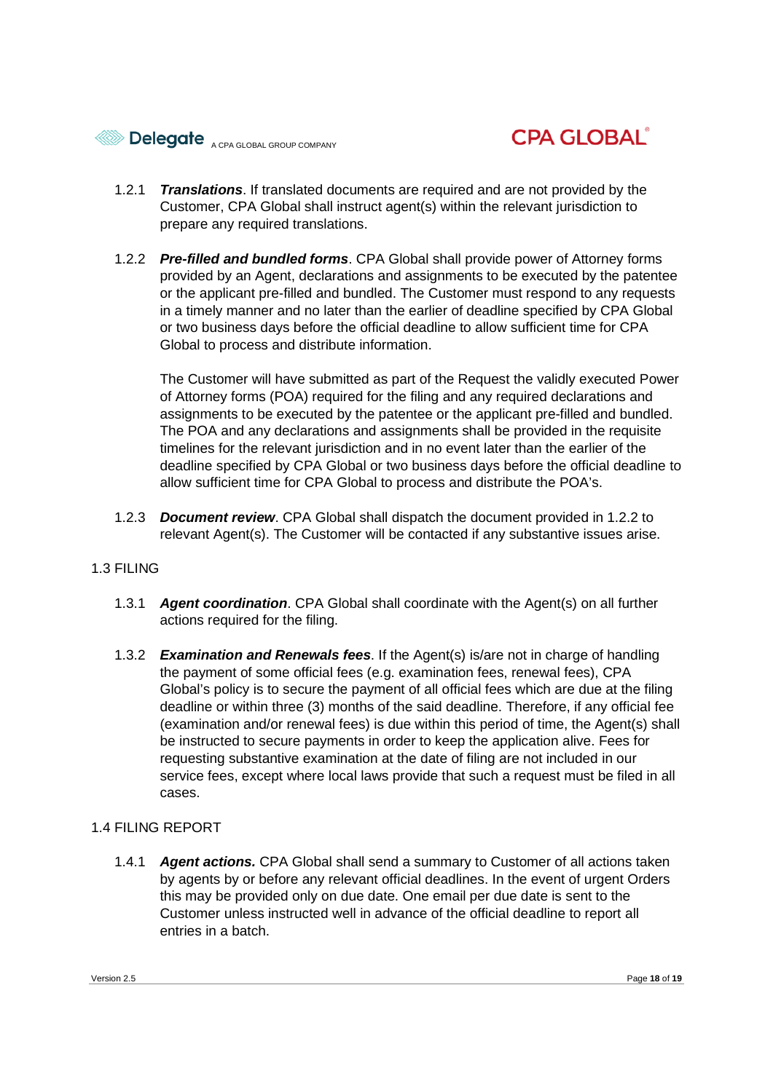



- 1.2.1 *Translations*. If translated documents are required and are not provided by the Customer, CPA Global shall instruct agent(s) within the relevant jurisdiction to prepare any required translations.
- 1.2.2 *Pre-filled and bundled forms*. CPA Global shall provide power of Attorney forms provided by an Agent, declarations and assignments to be executed by the patentee or the applicant pre-filled and bundled. The Customer must respond to any requests in a timely manner and no later than the earlier of deadline specified by CPA Global or two business days before the official deadline to allow sufficient time for CPA Global to process and distribute information.

The Customer will have submitted as part of the Request the validly executed Power of Attorney forms (POA) required for the filing and any required declarations and assignments to be executed by the patentee or the applicant pre-filled and bundled. The POA and any declarations and assignments shall be provided in the requisite timelines for the relevant jurisdiction and in no event later than the earlier of the deadline specified by CPA Global or two business days before the official deadline to allow sufficient time for CPA Global to process and distribute the POA's.

1.2.3 *Document review*. CPA Global shall dispatch the document provided in 1.2.2 to relevant Agent(s). The Customer will be contacted if any substantive issues arise.

### 1.3 FILING

- 1.3.1 *Agent coordination*. CPA Global shall coordinate with the Agent(s) on all further actions required for the filing.
- 1.3.2 *Examination and Renewals fees*. If the Agent(s) is/are not in charge of handling the payment of some official fees (e.g. examination fees, renewal fees), CPA Global's policy is to secure the payment of all official fees which are due at the filing deadline or within three (3) months of the said deadline. Therefore, if any official fee (examination and/or renewal fees) is due within this period of time, the Agent(s) shall be instructed to secure payments in order to keep the application alive. Fees for requesting substantive examination at the date of filing are not included in our service fees, except where local laws provide that such a request must be filed in all cases.

#### 1.4 FILING REPORT

1.4.1 *Agent actions.* CPA Global shall send a summary to Customer of all actions taken by agents by or before any relevant official deadlines. In the event of urgent Orders this may be provided only on due date. One email per due date is sent to the Customer unless instructed well in advance of the official deadline to report all entries in a batch.